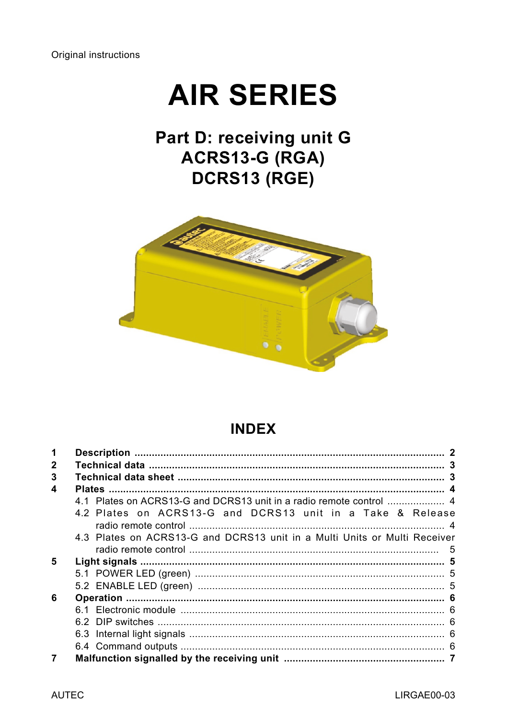# **AIR SERIES**

## Part D: receiving unit G ACRS13-G (RGA) DCRS13 (RGE)



## **INDEX**

| 1 |                                                                           |  |
|---|---------------------------------------------------------------------------|--|
| 2 |                                                                           |  |
| 3 |                                                                           |  |
| 4 |                                                                           |  |
|   |                                                                           |  |
|   | 4.2 Plates on ACRS13-G and DCRS13 unit in a Take & Release                |  |
|   |                                                                           |  |
|   | 4.3 Plates on ACRS13-G and DCRS13 unit in a Multi Units or Multi Receiver |  |
|   |                                                                           |  |
| 5 |                                                                           |  |
|   |                                                                           |  |
|   |                                                                           |  |
| 6 |                                                                           |  |
|   |                                                                           |  |
|   |                                                                           |  |
|   |                                                                           |  |
|   |                                                                           |  |
|   |                                                                           |  |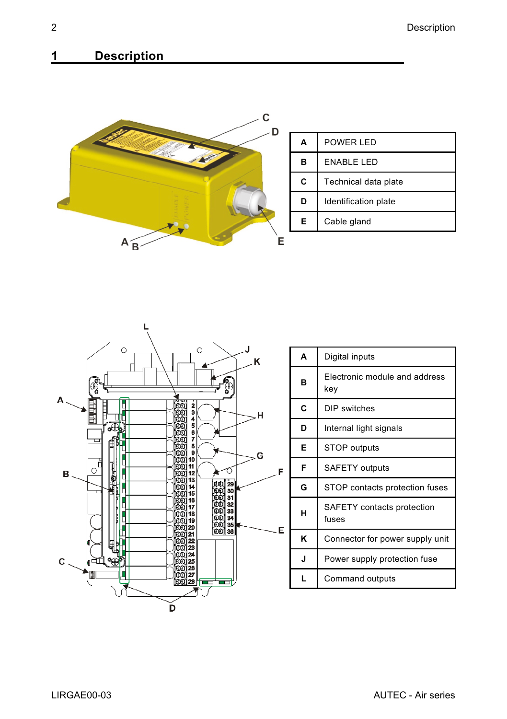## <span id="page-1-0"></span>**1 Description**





| A                                                                                                                     | Digital inputs                 |  |                 |  |
|-----------------------------------------------------------------------------------------------------------------------|--------------------------------|--|-----------------|--|
| Electronic module and address<br>B<br>key                                                                             |                                |  |                 |  |
| C                                                                                                                     | DIP switches                   |  |                 |  |
| D                                                                                                                     | Internal light signals         |  |                 |  |
| E                                                                                                                     | <b>STOP</b> outputs            |  |                 |  |
| F<br><b>SAFETY</b> outputs                                                                                            |                                |  |                 |  |
| G                                                                                                                     | STOP contacts protection fuses |  |                 |  |
| SAFETY contacts protection<br>н<br>fuses<br>ĸ<br>Connector for power supply unit<br>J<br>Power supply protection fuse |                                |  |                 |  |
|                                                                                                                       |                                |  | Command outputs |  |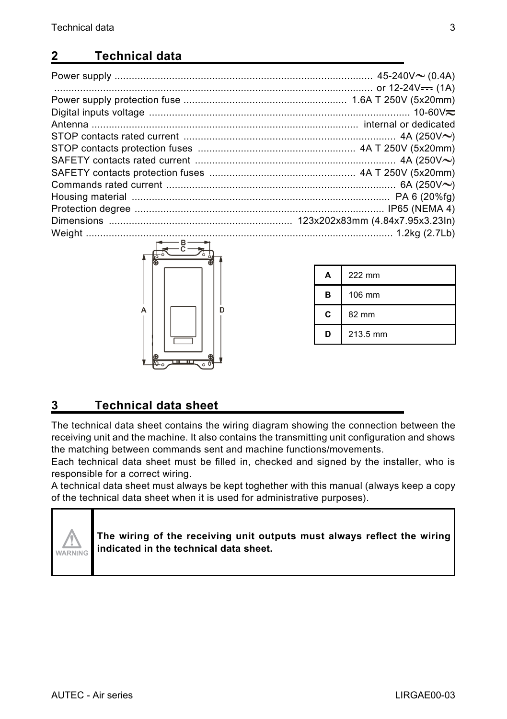## <span id="page-2-0"></span>**2 Technical data**

| $\sim$ $\sim$ $\sim$ |  |
|----------------------|--|



| А | 222 mm   |  |
|---|----------|--|
| в | 106 mm   |  |
| C | 82 mm    |  |
| D | 213.5 mm |  |

## <span id="page-2-1"></span>**3 Technical data sheet**

The technical data sheet contains the wiring diagram showing the connection between the receiving unit and the machine. It also contains the transmitting unit configuration and shows the matching between commands sent and machine functions/movements.

Each technical data sheet must be filled in, checked and signed by the installer, who is responsible for a correct wiring.

A technical data sheet must always be kept toghether with this manual (always keep a copy of the technical data sheet when it is used for administrative purposes).



**The wiring of the receiving unit outputs must always reflect the wiring indicated in the technical data sheet.**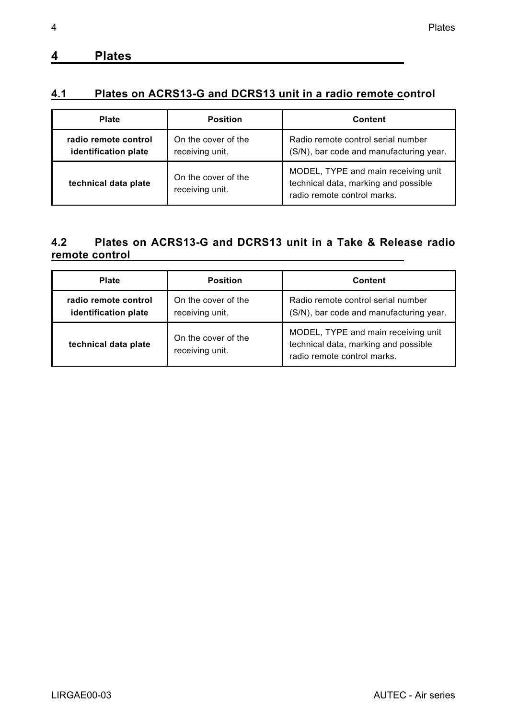## <span id="page-3-0"></span>**4 Plates**

## <span id="page-3-1"></span>**4.1 Plates on ACRS13-G and DCRS13 unit in a radio remote control**

| Plate                                        | Position                               | Content                                                                                                    |
|----------------------------------------------|----------------------------------------|------------------------------------------------------------------------------------------------------------|
| radio remote control<br>identification plate | On the cover of the<br>receiving unit. | Radio remote control serial number<br>(S/N), bar code and manufacturing year.                              |
| technical data plate                         | On the cover of the<br>receiving unit. | MODEL, TYPE and main receiving unit<br>technical data, marking and possible<br>radio remote control marks. |

#### <span id="page-3-2"></span>**4.2 Plates on ACRS13-G and DCRS13 unit in a Take & Release radio remote control**

| Plate                                        | Position                               | Content                                                                                                    |
|----------------------------------------------|----------------------------------------|------------------------------------------------------------------------------------------------------------|
| radio remote control<br>identification plate | On the cover of the<br>receiving unit. | Radio remote control serial number<br>(S/N), bar code and manufacturing year.                              |
| technical data plate                         | On the cover of the<br>receiving unit. | MODEL, TYPE and main receiving unit<br>technical data, marking and possible<br>radio remote control marks. |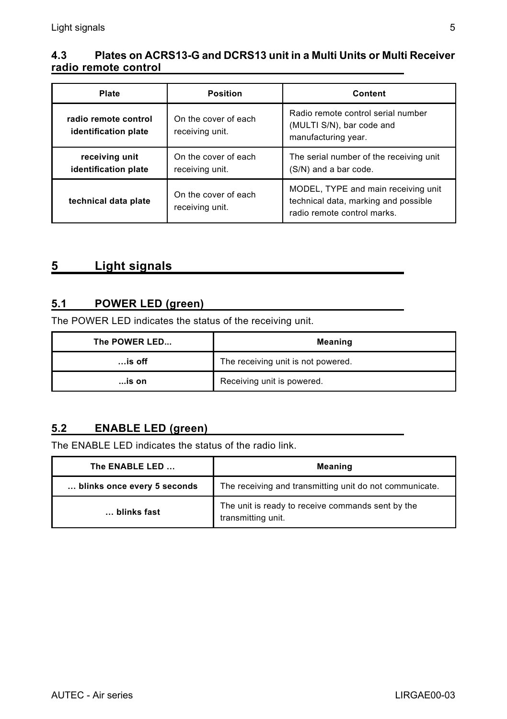#### <span id="page-4-0"></span>**4.3 Plates on ACRS13-G and DCRS13 unit in a Multi Units or Multi Receiver radio remote control**

| Plate                                        | Position                                | Content                                                                                                    |
|----------------------------------------------|-----------------------------------------|------------------------------------------------------------------------------------------------------------|
| radio remote control<br>identification plate | On the cover of each<br>receiving unit. | Radio remote control serial number<br>(MULTI S/N), bar code and<br>manufacturing year.                     |
| receiving unit<br>identification plate       | On the cover of each<br>receiving unit. | The serial number of the receiving unit<br>(S/N) and a bar code.                                           |
| technical data plate                         | On the cover of each<br>receiving unit. | MODEL, TYPE and main receiving unit<br>technical data, marking and possible<br>radio remote control marks. |

## <span id="page-4-1"></span>**5 Light signals**

#### <span id="page-4-2"></span>**5.1 POWER LED (green)**

The POWER LED indicates the status of the receiving unit.

| The POWER LED | Meaning                            |  |
|---------------|------------------------------------|--|
| $$ is off     | The receiving unit is not powered. |  |
| …is on        | Receiving unit is powered.         |  |

#### <span id="page-4-3"></span>**5.2 ENABLE LED (green)**

The ENABLE LED indicates the status of the radio link.

| The ENABLE LED              | <b>Meaning</b>                                                          |  |
|-----------------------------|-------------------------------------------------------------------------|--|
| blinks once every 5 seconds | The receiving and transmitting unit do not communicate.                 |  |
| blinks fast                 | The unit is ready to receive commands sent by the<br>transmitting unit. |  |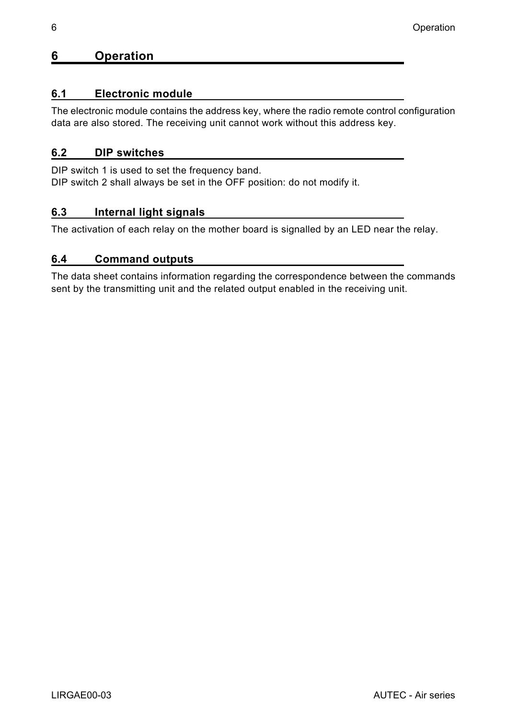#### <span id="page-5-0"></span>**6 Operation**

#### <span id="page-5-1"></span>**6.1 Electronic module**

The electronic module contains the address key, where the radio remote control configuration data are also stored. The receiving unit cannot work without this address key.

#### <span id="page-5-2"></span>**6.2 DIP switches**

DIP switch 1 is used to set the frequency band. DIP switch 2 shall always be set in the OFF position: do not modify it.

#### <span id="page-5-3"></span>**6.3 Internal light signals**

The activation of each relay on the mother board is signalled by an LED near the relay.

#### <span id="page-5-4"></span>**6.4 Command outputs**

The data sheet contains information regarding the correspondence between the commands sent by the transmitting unit and the related output enabled in the receiving unit.